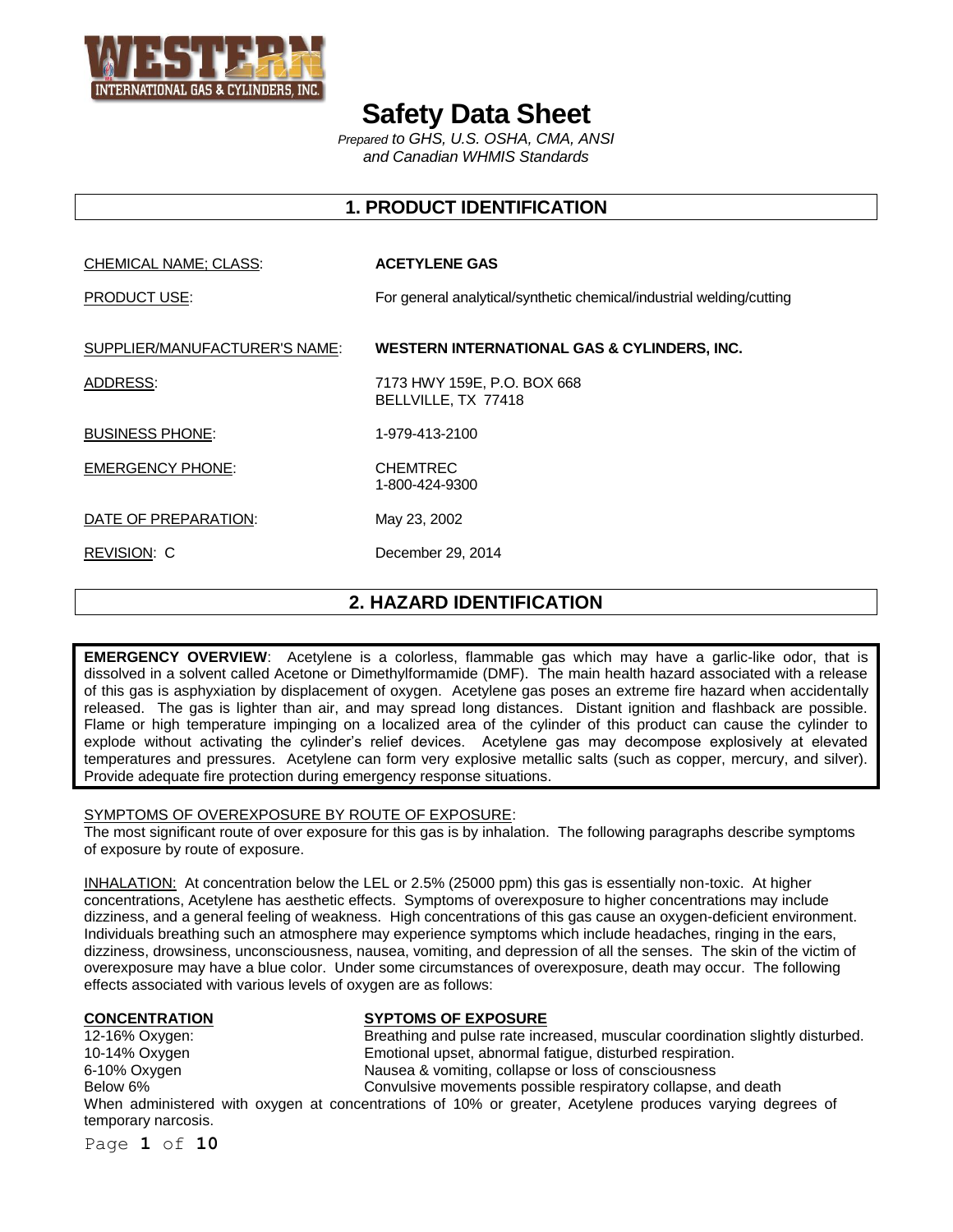

# **Safety Data Sheet**

*Prepared to GHS, U.S. OSHA, CMA, ANSI and Canadian WHMIS Standards*

## **1. PRODUCT IDENTIFICATION**

#### CHEMICAL NAME; CLASS: **ACETYLENE GAS**

PRODUCT USE: For general analytical/synthetic chemical/industrial welding/cutting

#### SUPPLIER/MANUFACTURER'S NAME: **WESTERN INTERNATIONAL GAS & CYLINDERS, INC.**

1-800-424-9300

ADDRESS: 7173 HWY 159E, P.O. BOX 668 BELLVILLE, TX 77418

BUSINESS PHONE: 1-979-413-2100

EMERGENCY PHONE: CHEMTREC

DATE OF PREPARATION: May 23, 2002

REVISION: C December 29, 2014

## **2. HAZARD IDENTIFICATION**

**EMERGENCY OVERVIEW**: Acetylene is a colorless, flammable gas which may have a garlic-like odor, that is dissolved in a solvent called Acetone or Dimethylformamide (DMF). The main health hazard associated with a release of this gas is asphyxiation by displacement of oxygen. Acetylene gas poses an extreme fire hazard when accidentally released. The gas is lighter than air, and may spread long distances. Distant ignition and flashback are possible. Flame or high temperature impinging on a localized area of the cylinder of this product can cause the cylinder to explode without activating the cylinder's relief devices. Acetylene gas may decompose explosively at elevated temperatures and pressures. Acetylene can form very explosive metallic salts (such as copper, mercury, and silver). Provide adequate fire protection during emergency response situations.

### SYMPTOMS OF OVEREXPOSURE BY ROUTE OF EXPOSURE:

The most significant route of over exposure for this gas is by inhalation. The following paragraphs describe symptoms of exposure by route of exposure.

INHALATION: At concentration below the LEL or 2.5% (25000 ppm) this gas is essentially non-toxic. At higher concentrations, Acetylene has aesthetic effects. Symptoms of overexposure to higher concentrations may include dizziness, and a general feeling of weakness. High concentrations of this gas cause an oxygen-deficient environment. Individuals breathing such an atmosphere may experience symptoms which include headaches, ringing in the ears, dizziness, drowsiness, unconsciousness, nausea, vomiting, and depression of all the senses. The skin of the victim of overexposure may have a blue color. Under some circumstances of overexposure, death may occur. The following effects associated with various levels of oxygen are as follows:

# **CONCENTRATION**<br>
12-16% Oxygen: **System Breathing and pulse rate inc**

Breathing and pulse rate increased, muscular coordination slightly disturbed. 10-14% Oxygen Emotional upset, abnormal fatigue, disturbed respiration. 6-10% Oxygen Nausea & vomiting, collapse or loss of consciousness Below 6% Convulsive movements possible respiratory collapse, and death

When administered with oxygen at concentrations of 10% or greater, Acetylene produces varying degrees of temporary narcosis.

Page **1** of **10**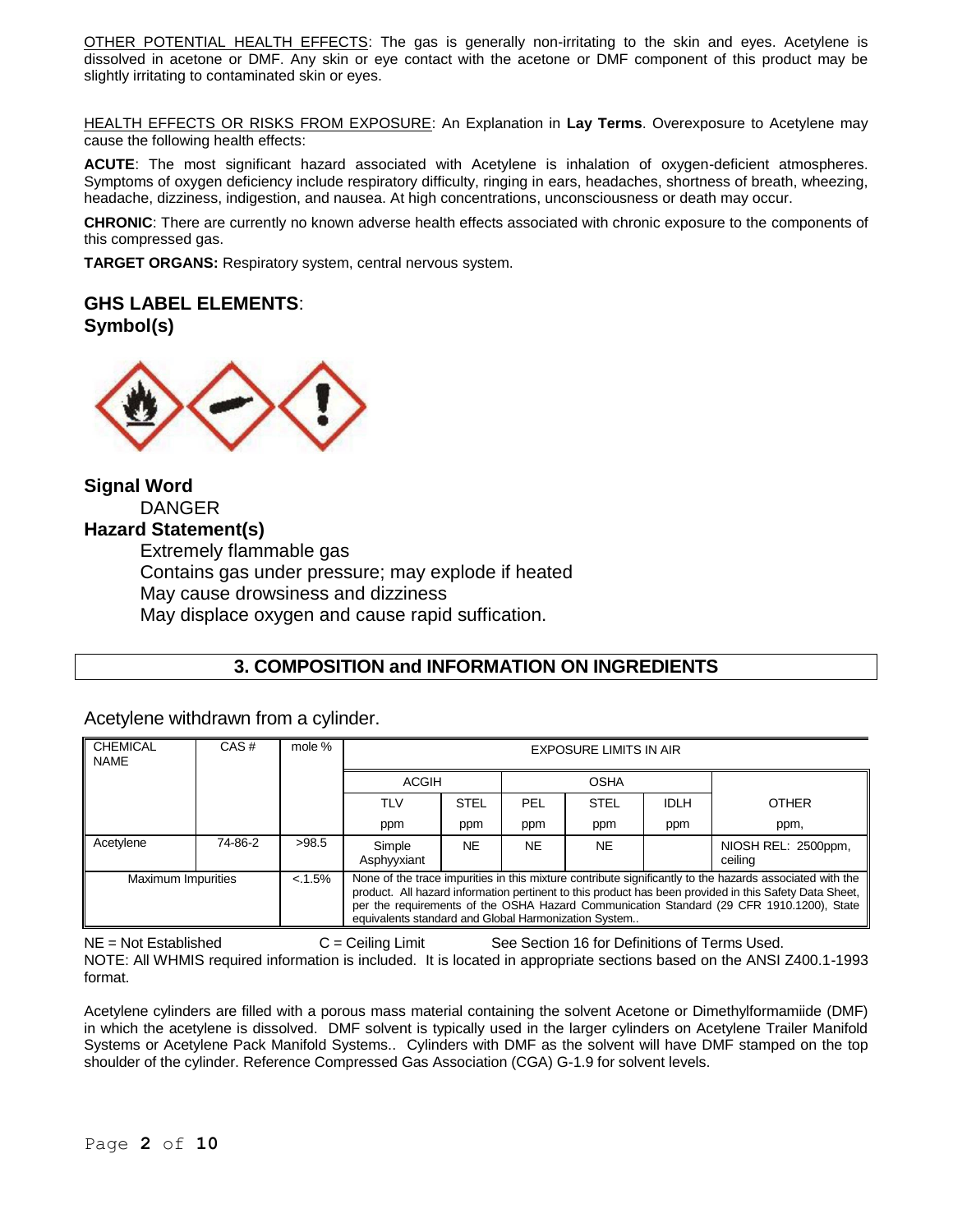OTHER POTENTIAL HEALTH EFFECTS: The gas is generally non-irritating to the skin and eyes. Acetylene is dissolved in acetone or DMF. Any skin or eye contact with the acetone or DMF component of this product may be slightly irritating to contaminated skin or eyes.

HEALTH EFFECTS OR RISKS FROM EXPOSURE: An Explanation in **Lay Terms**. Overexposure to Acetylene may cause the following health effects:

**ACUTE**: The most significant hazard associated with Acetylene is inhalation of oxygen-deficient atmospheres. Symptoms of oxygen deficiency include respiratory difficulty, ringing in ears, headaches, shortness of breath, wheezing, headache, dizziness, indigestion, and nausea. At high concentrations, unconsciousness or death may occur.

**CHRONIC**: There are currently no known adverse health effects associated with chronic exposure to the components of this compressed gas.

**TARGET ORGANS:** Respiratory system, central nervous system.

## **GHS LABEL ELEMENTS**:

**Symbol(s)**



**Signal Word** DANGER **Hazard Statement(s)** Extremely flammable gas Contains gas under pressure; may explode if heated May cause drowsiness and dizziness May displace oxygen and cause rapid suffication.

## **3. COMPOSITION and INFORMATION ON INGREDIENTS**

Acetylene withdrawn from a cylinder.

| <b>CHEMICAL</b><br><b>NAME</b> | CAS#    | mole %    | <b>EXPOSURE LIMITS IN AIR</b>                                                                                                                                                                                                                                                                                                                                             |             |             |             |             |                                |
|--------------------------------|---------|-----------|---------------------------------------------------------------------------------------------------------------------------------------------------------------------------------------------------------------------------------------------------------------------------------------------------------------------------------------------------------------------------|-------------|-------------|-------------|-------------|--------------------------------|
|                                |         |           | <b>ACGIH</b>                                                                                                                                                                                                                                                                                                                                                              |             | <b>OSHA</b> |             |             |                                |
|                                |         |           | TLV                                                                                                                                                                                                                                                                                                                                                                       | <b>STEL</b> | PEL         | <b>STEL</b> | <b>IDLH</b> | <b>OTHER</b>                   |
|                                |         |           | ppm                                                                                                                                                                                                                                                                                                                                                                       | ppm         | ppm         | ppm         | ppm         | ppm,                           |
| Acetylene                      | 74-86-2 | >98.5     | Simple<br>Asphyyxiant                                                                                                                                                                                                                                                                                                                                                     | <b>NE</b>   | <b>NE</b>   | <b>NE</b>   |             | NIOSH REL: 2500ppm,<br>ceiling |
| <b>Maximum Impurities</b>      |         | $< 1.5\%$ | None of the trace impurities in this mixture contribute significantly to the hazards associated with the<br>product. All hazard information pertinent to this product has been provided in this Safety Data Sheet,   <br>per the requirements of the OSHA Hazard Communication Standard (29 CFR 1910.1200), State<br>equivalents standard and Global Harmonization System |             |             |             |             |                                |

NE = Not Established C = Ceiling Limit See Section 16 for Definitions of Terms Used. NOTE: All WHMIS required information is included. It is located in appropriate sections based on the ANSI Z400.1-1993 format.

Acetylene cylinders are filled with a porous mass material containing the solvent Acetone or Dimethylformamiide (DMF) in which the acetylene is dissolved. DMF solvent is typically used in the larger cylinders on Acetylene Trailer Manifold Systems or Acetylene Pack Manifold Systems.. Cylinders with DMF as the solvent will have DMF stamped on the top shoulder of the cylinder. Reference Compressed Gas Association (CGA) G-1.9 for solvent levels.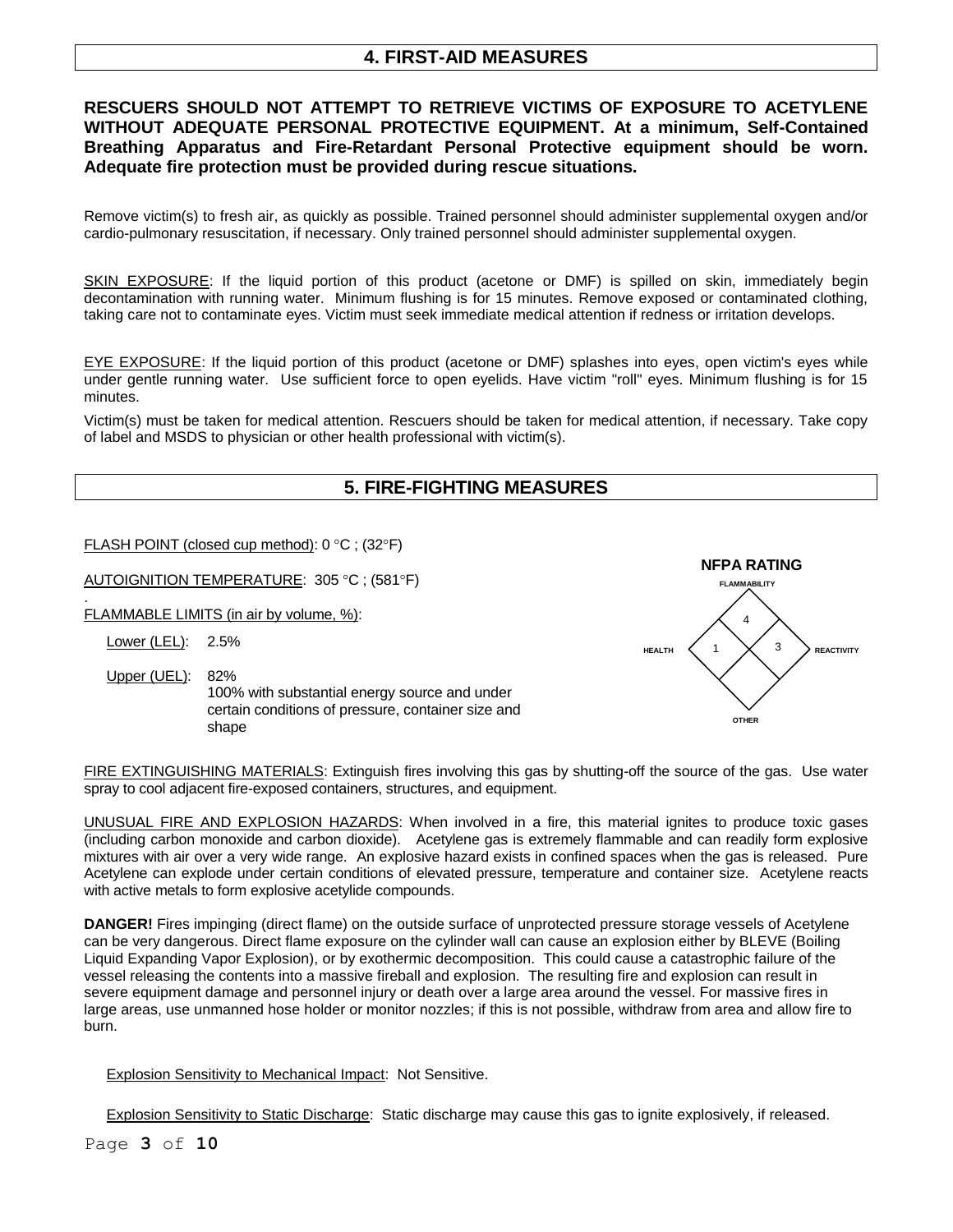## **4. FIRST-AID MEASURES**

## **RESCUERS SHOULD NOT ATTEMPT TO RETRIEVE VICTIMS OF EXPOSURE TO ACETYLENE WITHOUT ADEQUATE PERSONAL PROTECTIVE EQUIPMENT. At a minimum, Self-Contained Breathing Apparatus and Fire-Retardant Personal Protective equipment should be worn. Adequate fire protection must be provided during rescue situations.**

Remove victim(s) to fresh air, as quickly as possible. Trained personnel should administer supplemental oxygen and/or cardio-pulmonary resuscitation, if necessary. Only trained personnel should administer supplemental oxygen.

SKIN EXPOSURE: If the liquid portion of this product (acetone or DMF) is spilled on skin, immediately begin decontamination with running water. Minimum flushing is for 15 minutes. Remove exposed or contaminated clothing, taking care not to contaminate eyes. Victim must seek immediate medical attention if redness or irritation develops.

EYE EXPOSURE: If the liquid portion of this product (acetone or DMF) splashes into eyes, open victim's eyes while under gentle running water. Use sufficient force to open eyelids. Have victim "roll" eyes. Minimum flushing is for 15 minutes.

Victim(s) must be taken for medical attention. Rescuers should be taken for medical attention, if necessary. Take copy of label and MSDS to physician or other health professional with victim(s).

## **5. FIRE-FIGHTING MEASURES**

FLASH POINT (closed cup method):  $0^{\circ}$ C; (32 $^{\circ}$ F)

AUTOIGNITION TEMPERATURE: 305 °C; (581°F)

. FLAMMABLE LIMITS (in air by volume, %):

Lower (LEL): 2.5%

Upper (UEL): 82%

100% with substantial energy source and under certain conditions of pressure, container size and shape



FIRE EXTINGUISHING MATERIALS: Extinguish fires involving this gas by shutting-off the source of the gas. Use water spray to cool adjacent fire-exposed containers, structures, and equipment.

UNUSUAL FIRE AND EXPLOSION HAZARDS: When involved in a fire, this material ignites to produce toxic gases (including carbon monoxide and carbon dioxide). Acetylene gas is extremely flammable and can readily form explosive mixtures with air over a very wide range. An explosive hazard exists in confined spaces when the gas is released. Pure Acetylene can explode under certain conditions of elevated pressure, temperature and container size. Acetylene reacts with active metals to form explosive acetylide compounds.

**DANGER!** Fires impinging (direct flame) on the outside surface of unprotected pressure storage vessels of Acetylene can be very dangerous. Direct flame exposure on the cylinder wall can cause an explosion either by BLEVE (Boiling Liquid Expanding Vapor Explosion), or by exothermic decomposition. This could cause a catastrophic failure of the vessel releasing the contents into a massive fireball and explosion. The resulting fire and explosion can result in severe equipment damage and personnel injury or death over a large area around the vessel. For massive fires in large areas, use unmanned hose holder or monitor nozzles; if this is not possible, withdraw from area and allow fire to burn.

Explosion Sensitivity to Mechanical Impact: Not Sensitive.

Explosion Sensitivity to Static Discharge: Static discharge may cause this gas to ignite explosively, if released.

Page **3** of **10**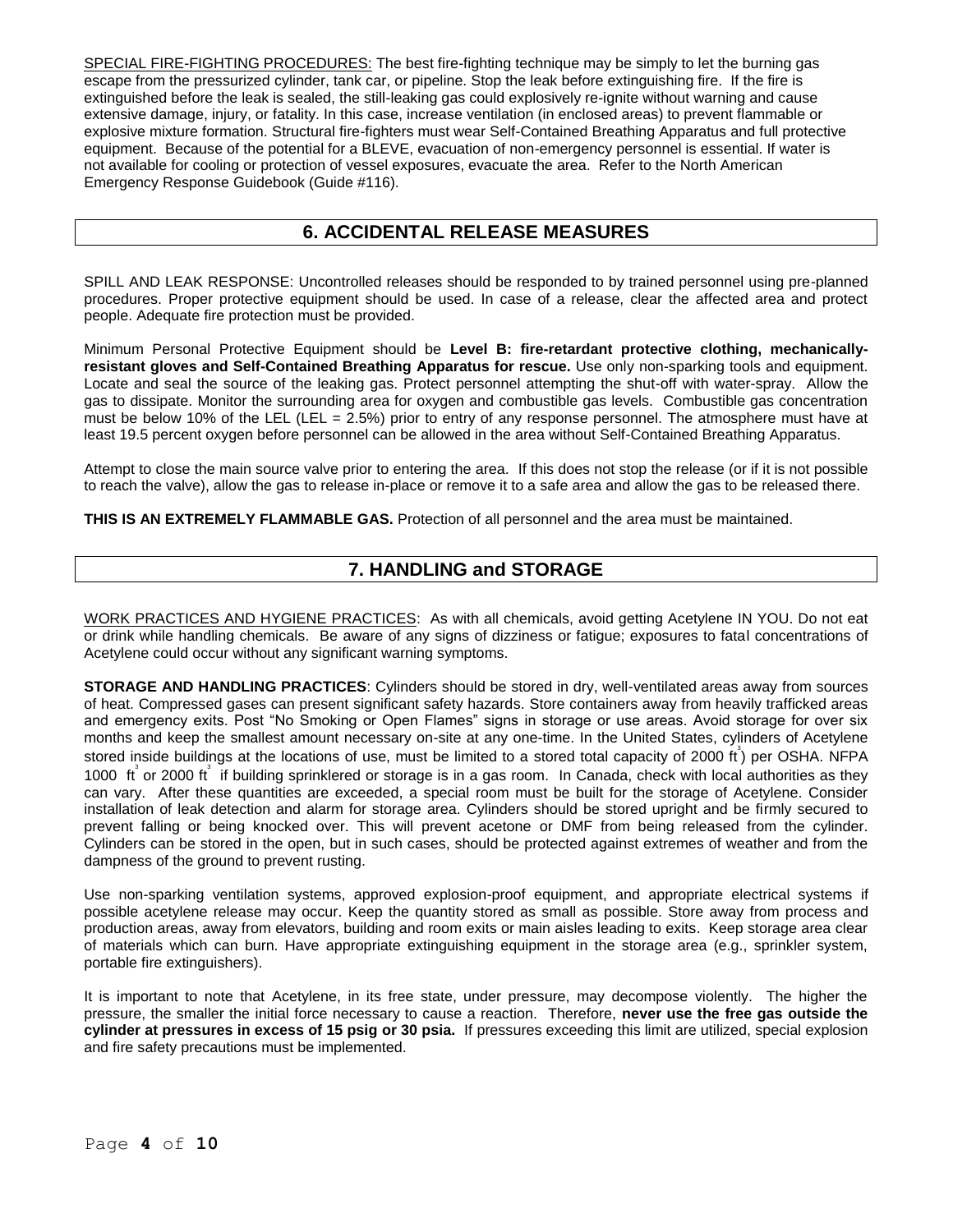SPECIAL FIRE-FIGHTING PROCEDURES: The best fire-fighting technique may be simply to let the burning gas escape from the pressurized cylinder, tank car, or pipeline. Stop the leak before extinguishing fire. If the fire is extinguished before the leak is sealed, the still-leaking gas could explosively re-ignite without warning and cause extensive damage, injury, or fatality. In this case, increase ventilation (in enclosed areas) to prevent flammable or explosive mixture formation. Structural fire-fighters must wear Self-Contained Breathing Apparatus and full protective equipment. Because of the potential for a BLEVE, evacuation of non-emergency personnel is essential. If water is not available for cooling or protection of vessel exposures, evacuate the area. Refer to the North American Emergency Response Guidebook (Guide #116).

## **6. ACCIDENTAL RELEASE MEASURES**

SPILL AND LEAK RESPONSE: Uncontrolled releases should be responded to by trained personnel using pre-planned procedures. Proper protective equipment should be used. In case of a release, clear the affected area and protect people. Adequate fire protection must be provided.

Minimum Personal Protective Equipment should be **Level B: fire-retardant protective clothing, mechanicallyresistant gloves and Self-Contained Breathing Apparatus for rescue.** Use only non-sparking tools and equipment. Locate and seal the source of the leaking gas. Protect personnel attempting the shut-off with water-spray. Allow the gas to dissipate. Monitor the surrounding area for oxygen and combustible gas levels. Combustible gas concentration must be below 10% of the LEL (LEL = 2.5%) prior to entry of any response personnel. The atmosphere must have at least 19.5 percent oxygen before personnel can be allowed in the area without Self-Contained Breathing Apparatus.

Attempt to close the main source valve prior to entering the area. If this does not stop the release (or if it is not possible to reach the valve), allow the gas to release in-place or remove it to a safe area and allow the gas to be released there.

**THIS IS AN EXTREMELY FLAMMABLE GAS.** Protection of all personnel and the area must be maintained.

## **7. HANDLING and STORAGE**

WORK PRACTICES AND HYGIENE PRACTICES: As with all chemicals, avoid getting Acetylene IN YOU. Do not eat or drink while handling chemicals. Be aware of any signs of dizziness or fatigue; exposures to fatal concentrations of Acetylene could occur without any significant warning symptoms.

**STORAGE AND HANDLING PRACTICES**: Cylinders should be stored in dry, well-ventilated areas away from sources of heat. Compressed gases can present significant safety hazards. Store containers away from heavily trafficked areas and emergency exits. Post "No Smoking or Open Flames" signs in storage or use areas. Avoid storage for over six months and keep the smallest amount necessary on-site at any one-time. In the United States, cylinders of Acetylene stored inside buildings at the locations of use, must be limited to a stored total capacity of 2000 ft<sup>3</sup>) per OSHA. NFPA 1000 ft or 2000 ft if building sprinklered or storage is in a gas room. In Canada, check with local authorities as they can vary. After these quantities are exceeded, a special room must be built for the storage of Acetylene. Consider installation of leak detection and alarm for storage area. Cylinders should be stored upright and be firmly secured to prevent falling or being knocked over. This will prevent acetone or DMF from being released from the cylinder. Cylinders can be stored in the open, but in such cases, should be protected against extremes of weather and from the dampness of the ground to prevent rusting.

Use non-sparking ventilation systems, approved explosion-proof equipment, and appropriate electrical systems if possible acetylene release may occur. Keep the quantity stored as small as possible. Store away from process and production areas, away from elevators, building and room exits or main aisles leading to exits. Keep storage area clear of materials which can burn. Have appropriate extinguishing equipment in the storage area (e.g., sprinkler system, portable fire extinguishers).

It is important to note that Acetylene, in its free state, under pressure, may decompose violently. The higher the pressure, the smaller the initial force necessary to cause a reaction. Therefore, **never use the free gas outside the cylinder at pressures in excess of 15 psig or 30 psia.** If pressures exceeding this limit are utilized, special explosion and fire safety precautions must be implemented.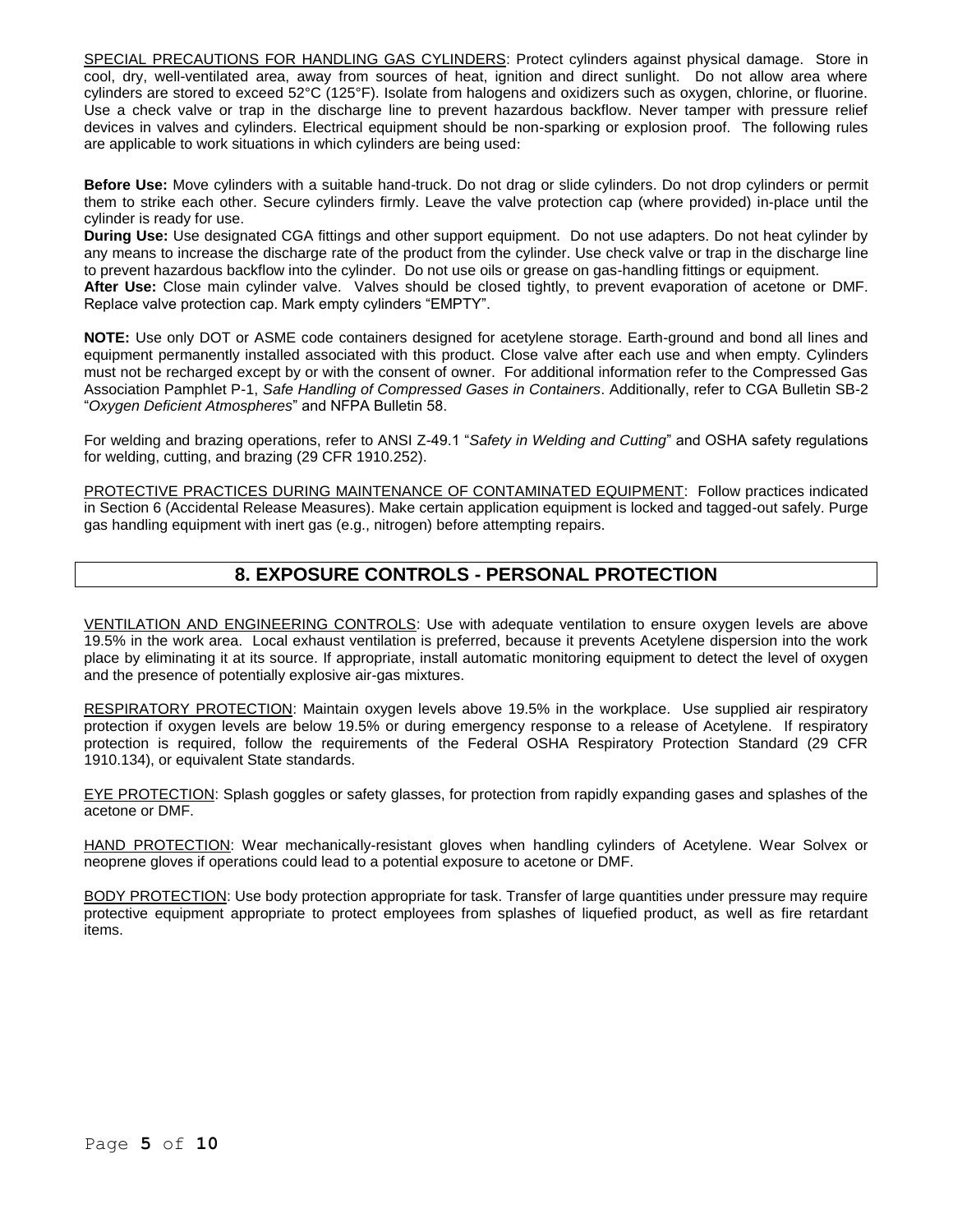SPECIAL PRECAUTIONS FOR HANDLING GAS CYLINDERS: Protect cylinders against physical damage. Store in cool, dry, well-ventilated area, away from sources of heat, ignition and direct sunlight. Do not allow area where cylinders are stored to exceed 52°C (125°F). Isolate from halogens and oxidizers such as oxygen, chlorine, or fluorine. Use a check valve or trap in the discharge line to prevent hazardous backflow. Never tamper with pressure relief devices in valves and cylinders. Electrical equipment should be non-sparking or explosion proof. The following rules are applicable to work situations in which cylinders are being used:

**Before Use:** Move cylinders with a suitable hand-truck. Do not drag or slide cylinders. Do not drop cylinders or permit them to strike each other. Secure cylinders firmly. Leave the valve protection cap (where provided) in-place until the cylinder is ready for use.

**During Use:** Use designated CGA fittings and other support equipment. Do not use adapters. Do not heat cylinder by any means to increase the discharge rate of the product from the cylinder. Use check valve or trap in the discharge line to prevent hazardous backflow into the cylinder. Do not use oils or grease on gas-handling fittings or equipment. **After Use:** Close main cylinder valve. Valves should be closed tightly, to prevent evaporation of acetone or DMF.

Replace valve protection cap. Mark empty cylinders "EMPTY".

**NOTE:** Use only DOT or ASME code containers designed for acetylene storage. Earth-ground and bond all lines and equipment permanently installed associated with this product. Close valve after each use and when empty. Cylinders must not be recharged except by or with the consent of owner. For additional information refer to the Compressed Gas Association Pamphlet P-1, *Safe Handling of Compressed Gases in Containers*. Additionally, refer to CGA Bulletin SB-2 "*Oxygen Deficient Atmospheres*" and NFPA Bulletin 58.

For welding and brazing operations, refer to ANSI Z-49.1 "*Safety in Welding and Cutting*" and OSHA safety regulations for welding, cutting, and brazing (29 CFR 1910.252).

PROTECTIVE PRACTICES DURING MAINTENANCE OF CONTAMINATED EQUIPMENT: Follow practices indicated in Section 6 (Accidental Release Measures). Make certain application equipment is locked and tagged-out safely. Purge gas handling equipment with inert gas (e.g., nitrogen) before attempting repairs.

## **8. EXPOSURE CONTROLS - PERSONAL PROTECTION**

VENTILATION AND ENGINEERING CONTROLS: Use with adequate ventilation to ensure oxygen levels are above 19.5% in the work area. Local exhaust ventilation is preferred, because it prevents Acetylene dispersion into the work place by eliminating it at its source. If appropriate, install automatic monitoring equipment to detect the level of oxygen and the presence of potentially explosive air-gas mixtures.

RESPIRATORY PROTECTION: Maintain oxygen levels above 19.5% in the workplace. Use supplied air respiratory protection if oxygen levels are below 19.5% or during emergency response to a release of Acetylene. If respiratory protection is required, follow the requirements of the Federal OSHA Respiratory Protection Standard (29 CFR 1910.134), or equivalent State standards.

EYE PROTECTION: Splash goggles or safety glasses, for protection from rapidly expanding gases and splashes of the acetone or DMF.

HAND PROTECTION: Wear mechanically-resistant gloves when handling cylinders of Acetylene. Wear Solvex or neoprene gloves if operations could lead to a potential exposure to acetone or DMF.

BODY PROTECTION: Use body protection appropriate for task. Transfer of large quantities under pressure may require protective equipment appropriate to protect employees from splashes of liquefied product, as well as fire retardant items.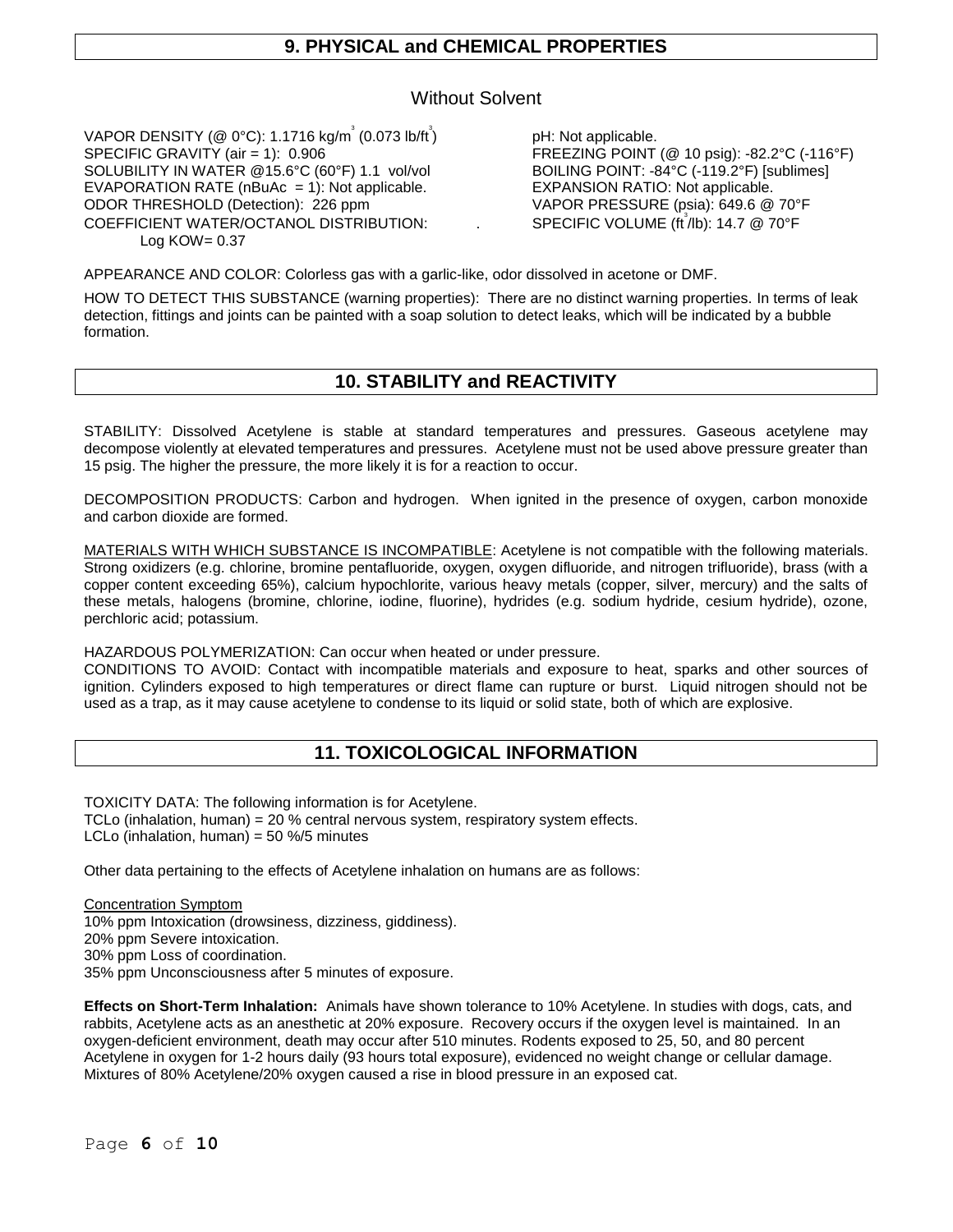## **9. PHYSICAL and CHEMICAL PROPERTIES**

## Without Solvent

<code>VAPOR DENSITY</code> (@ 0°C): 1.1716 kg/m $^{^\circ}$  (0.073 lb/ft $^{^\circ}$ SPECIFIC GRAVITY (air = 1): 0.906<br>SOLUBILITY IN WATER @15.6°C (60°F) 1.1 vol/vol BOILING POINT: -84°C (-119.2°F) [sublimes] SOLUBILITY IN WATER @15.6°C (60°F) 1.1 vol/vol BOILING POINT: -84°C (-119.2°F) [s<br>EVAPORATION RATE (nBuAc = 1): Not applicable. EXPANSION RATIO: Not applicable. EVAPORATION RATE ( $nBuAc = 1$ ): Not applicable. ODOR THRESHOLD (Detection): 226 ppm VAPOR PRESSURE (psia): 649.6 @ 70°F COEFFICIENT WATER/OCTANOL DISTRIBUTION: Log  $KOW = 0.37$ 

) pH: Not applicable. 3 /lb): 14.7 @ 70°F

APPEARANCE AND COLOR: Colorless gas with a garlic-like, odor dissolved in acetone or DMF.

HOW TO DETECT THIS SUBSTANCE (warning properties): There are no distinct warning properties. In terms of leak detection, fittings and joints can be painted with a soap solution to detect leaks, which will be indicated by a bubble formation.

## **10. STABILITY and REACTIVITY**

STABILITY: Dissolved Acetylene is stable at standard temperatures and pressures. Gaseous acetylene may decompose violently at elevated temperatures and pressures. Acetylene must not be used above pressure greater than 15 psig. The higher the pressure, the more likely it is for a reaction to occur.

DECOMPOSITION PRODUCTS: Carbon and hydrogen. When ignited in the presence of oxygen, carbon monoxide and carbon dioxide are formed.

MATERIALS WITH WHICH SUBSTANCE IS INCOMPATIBLE: Acetylene is not compatible with the following materials. Strong oxidizers (e.g. chlorine, bromine pentafluoride, oxygen, oxygen difluoride, and nitrogen trifluoride), brass (with a copper content exceeding 65%), calcium hypochlorite, various heavy metals (copper, silver, mercury) and the salts of these metals, halogens (bromine, chlorine, iodine, fluorine), hydrides (e.g. sodium hydride, cesium hydride), ozone, perchloric acid; potassium.

HAZARDOUS POLYMERIZATION: Can occur when heated or under pressure.

CONDITIONS TO AVOID: Contact with incompatible materials and exposure to heat, sparks and other sources of ignition. Cylinders exposed to high temperatures or direct flame can rupture or burst. Liquid nitrogen should not be used as a trap, as it may cause acetylene to condense to its liquid or solid state, both of which are explosive.

## **11. TOXICOLOGICAL INFORMATION**

TOXICITY DATA: The following information is for Acetylene. TCLo (inhalation, human) = 20 % central nervous system, respiratory system effects. LCLo (inhalation, human) =  $50\%$ /5 minutes

Other data pertaining to the effects of Acetylene inhalation on humans are as follows:

Concentration Symptom 10% ppm Intoxication (drowsiness, dizziness, giddiness). 20% ppm Severe intoxication. 30% ppm Loss of coordination. 35% ppm Unconsciousness after 5 minutes of exposure.

**Effects on Short-Term Inhalation:** Animals have shown tolerance to 10% Acetylene. In studies with dogs, cats, and rabbits, Acetylene acts as an anesthetic at 20% exposure. Recovery occurs if the oxygen level is maintained. In an oxygen-deficient environment, death may occur after 510 minutes. Rodents exposed to 25, 50, and 80 percent Acetylene in oxygen for 1-2 hours daily (93 hours total exposure), evidenced no weight change or cellular damage. Mixtures of 80% Acetylene/20% oxygen caused a rise in blood pressure in an exposed cat.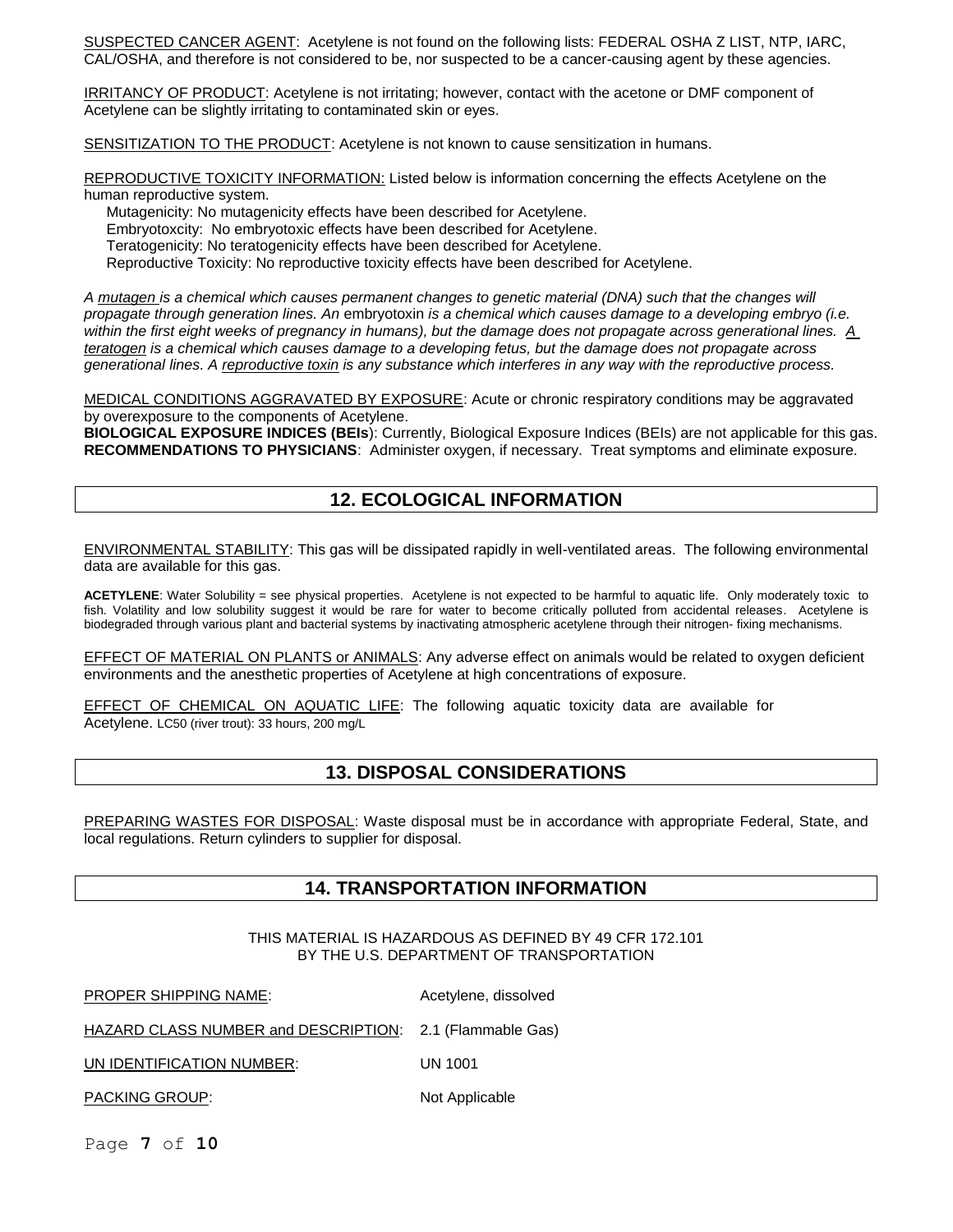SUSPECTED CANCER AGENT: Acetylene is not found on the following lists: FEDERAL OSHA Z LIST, NTP, IARC, CAL/OSHA, and therefore is not considered to be, nor suspected to be a cancer-causing agent by these agencies.

IRRITANCY OF PRODUCT: Acetylene is not irritating; however, contact with the acetone or DMF component of Acetylene can be slightly irritating to contaminated skin or eyes.

SENSITIZATION TO THE PRODUCT: Acetylene is not known to cause sensitization in humans.

REPRODUCTIVE TOXICITY INFORMATION: Listed below is information concerning the effects Acetylene on the human reproductive system.

Mutagenicity: No mutagenicity effects have been described for Acetylene.

Embryotoxcity: No embryotoxic effects have been described for Acetylene.

Teratogenicity: No teratogenicity effects have been described for Acetylene.

Reproductive Toxicity: No reproductive toxicity effects have been described for Acetylene.

*A mutagen is a chemical which causes permanent changes to genetic material (DNA) such that the changes will propagate through generation lines. An* embryotoxin *is a chemical which causes damage to a developing embryo (i.e. within the first eight weeks of pregnancy in humans), but the damage does not propagate across generational lines. A teratogen is a chemical which causes damage to a developing fetus, but the damage does not propagate across generational lines. A reproductive toxin is any substance which interferes in any way with the reproductive process.* 

MEDICAL CONDITIONS AGGRAVATED BY EXPOSURE: Acute or chronic respiratory conditions may be aggravated by overexposure to the components of Acetylene.

**BIOLOGICAL EXPOSURE INDICES (BEIs**): Currently, Biological Exposure Indices (BEIs) are not applicable for this gas. **RECOMMENDATIONS TO PHYSICIANS**: Administer oxygen, if necessary. Treat symptoms and eliminate exposure.

## **12. ECOLOGICAL INFORMATION**

ENVIRONMENTAL STABILITY: This gas will be dissipated rapidly in well-ventilated areas. The following environmental data are available for this gas.

**ACETYLENE:** Water Solubility = see physical properties. Acetylene is not expected to be harmful to aquatic life. Only moderately toxic to fish. Volatility and low solubility suggest it would be rare for water to become critically polluted from accidental releases. Acetylene is biodegraded through various plant and bacterial systems by inactivating atmospheric acetylene through their nitrogen- fixing mechanisms.

EFFECT OF MATERIAL ON PLANTS or ANIMALS: Any adverse effect on animals would be related to oxygen deficient environments and the anesthetic properties of Acetylene at high concentrations of exposure.

EFFECT OF CHEMICAL ON AQUATIC LIFE: The following aquatic toxicity data are available for Acetylene. LC50 (river trout): 33 hours, 200 mg/L

## **13. DISPOSAL CONSIDERATIONS**

PREPARING WASTES FOR DISPOSAL: Waste disposal must be in accordance with appropriate Federal, State, and local regulations. Return cylinders to supplier for disposal.

## **14. TRANSPORTATION INFORMATION**

#### THIS MATERIAL IS HAZARDOUS AS DEFINED BY 49 CFR 172.101 BY THE U.S. DEPARTMENT OF TRANSPORTATION

PROPER SHIPPING NAME: Acetylene, dissolved

HAZARD CLASS NUMBER and DESCRIPTION: 2.1 (Flammable Gas)

UN IDENTIFICATION NUMBER: UN 1001

PACKING GROUP: Not Applicable

Page **7** of **10**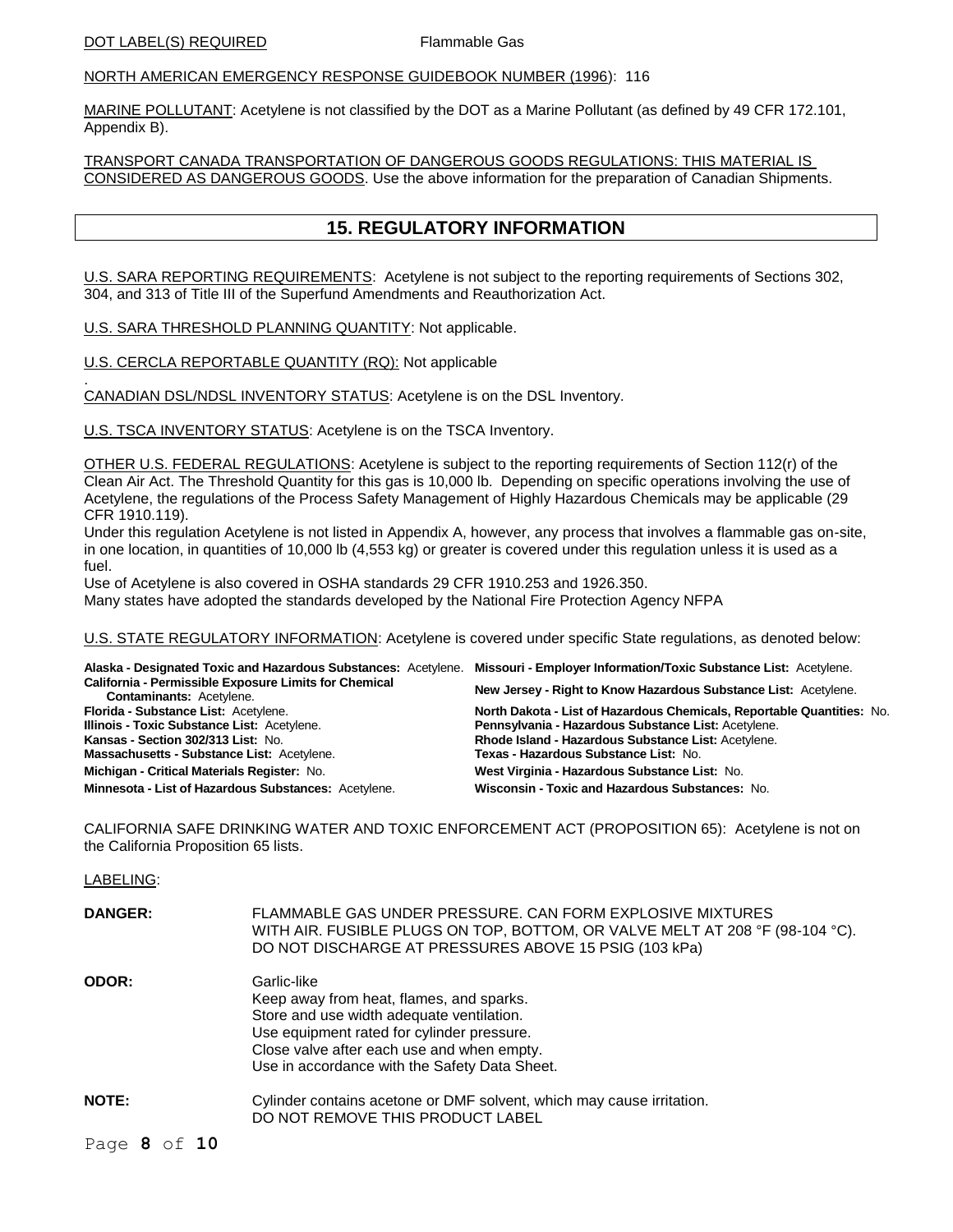### NORTH AMERICAN EMERGENCY RESPONSE GUIDEBOOK NUMBER (1996): 116

MARINE POLLUTANT: Acetylene is not classified by the DOT as a Marine Pollutant (as defined by 49 CFR 172.101, Appendix B).

TRANSPORT CANADA TRANSPORTATION OF DANGEROUS GOODS REGULATIONS: THIS MATERIAL IS CONSIDERED AS DANGEROUS GOODS. Use the above information for the preparation of Canadian Shipments.

## **15. REGULATORY INFORMATION**

U.S. SARA REPORTING REQUIREMENTS: Acetylene is not subject to the reporting requirements of Sections 302, 304, and 313 of Title III of the Superfund Amendments and Reauthorization Act.

U.S. SARA THRESHOLD PLANNING QUANTITY: Not applicable.

U.S. CERCLA REPORTABLE QUANTITY (RQ): Not applicable

. CANADIAN DSL/NDSL INVENTORY STATUS: Acetylene is on the DSL Inventory.

U.S. TSCA INVENTORY STATUS: Acetylene is on the TSCA Inventory.

OTHER U.S. FEDERAL REGULATIONS: Acetylene is subject to the reporting requirements of Section 112(r) of the Clean Air Act. The Threshold Quantity for this gas is 10,000 lb. Depending on specific operations involving the use of Acetylene, the regulations of the Process Safety Management of Highly Hazardous Chemicals may be applicable (29 CFR 1910.119).

Under this regulation Acetylene is not listed in Appendix A, however, any process that involves a flammable gas on-site, in one location, in quantities of 10,000 lb (4,553 kg) or greater is covered under this regulation unless it is used as a fuel.

Use of Acetylene is also covered in OSHA standards 29 CFR 1910.253 and 1926.350.

Many states have adopted the standards developed by the National Fire Protection Agency NFPA

U.S. STATE REGULATORY INFORMATION: Acetylene is covered under specific State regulations, as denoted below:

|                                                                                          | Alaska - Designated Toxic and Hazardous Substances: Acetylene. Missouri - Employer Information/Toxic Substance List: Acetylene. |  |  |  |  |
|------------------------------------------------------------------------------------------|---------------------------------------------------------------------------------------------------------------------------------|--|--|--|--|
| California - Permissible Exposure Limits for Chemical<br><b>Contaminants: Acetylene.</b> | New Jersey - Right to Know Hazardous Substance List: Acetylene.                                                                 |  |  |  |  |
| Florida - Substance List: Acetylene.                                                     | North Dakota - List of Hazardous Chemicals, Reportable Quantities: No.                                                          |  |  |  |  |
| Illinois - Toxic Substance List: Acetylene.                                              | Pennsylvania - Hazardous Substance List: Acetylene.                                                                             |  |  |  |  |
| Kansas - Section 302/313 List: No.                                                       | Rhode Island - Hazardous Substance List: Acetylene.                                                                             |  |  |  |  |
| Massachusetts - Substance List: Acetylene.                                               | Texas - Hazardous Substance List: No.                                                                                           |  |  |  |  |
| Michigan - Critical Materials Register: No.                                              | West Virginia - Hazardous Substance List: No.                                                                                   |  |  |  |  |
| Minnesota - List of Hazardous Substances: Acetylene.                                     | Wisconsin - Toxic and Hazardous Substances: No.                                                                                 |  |  |  |  |

CALIFORNIA SAFE DRINKING WATER AND TOXIC ENFORCEMENT ACT (PROPOSITION 65): Acetylene is not on the California Proposition 65 lists.

LABELING:

| <b>DANGER:</b> | FLAMMABLE GAS UNDER PRESSURE. CAN FORM EXPLOSIVE MIXTURES<br>WITH AIR. FUSIBLE PLUGS ON TOP, BOTTOM, OR VALVE MELT AT 208 °F (98-104 °C).<br>DO NOT DISCHARGE AT PRESSURES ABOVE 15 PSIG (103 kPa)                                                |  |  |  |
|----------------|---------------------------------------------------------------------------------------------------------------------------------------------------------------------------------------------------------------------------------------------------|--|--|--|
| <b>ODOR:</b>   | Garlic-like<br>Keep away from heat, flames, and sparks.<br>Store and use width adequate ventilation.<br>Use equipment rated for cylinder pressure.<br>Close valve after each use and when empty.<br>Use in accordance with the Safety Data Sheet. |  |  |  |
| <b>NOTE:</b>   | Cylinder contains acetone or DMF solvent, which may cause irritation.<br>DO NOT REMOVE THIS PRODUCT LABEL                                                                                                                                         |  |  |  |

Page **8** of **10**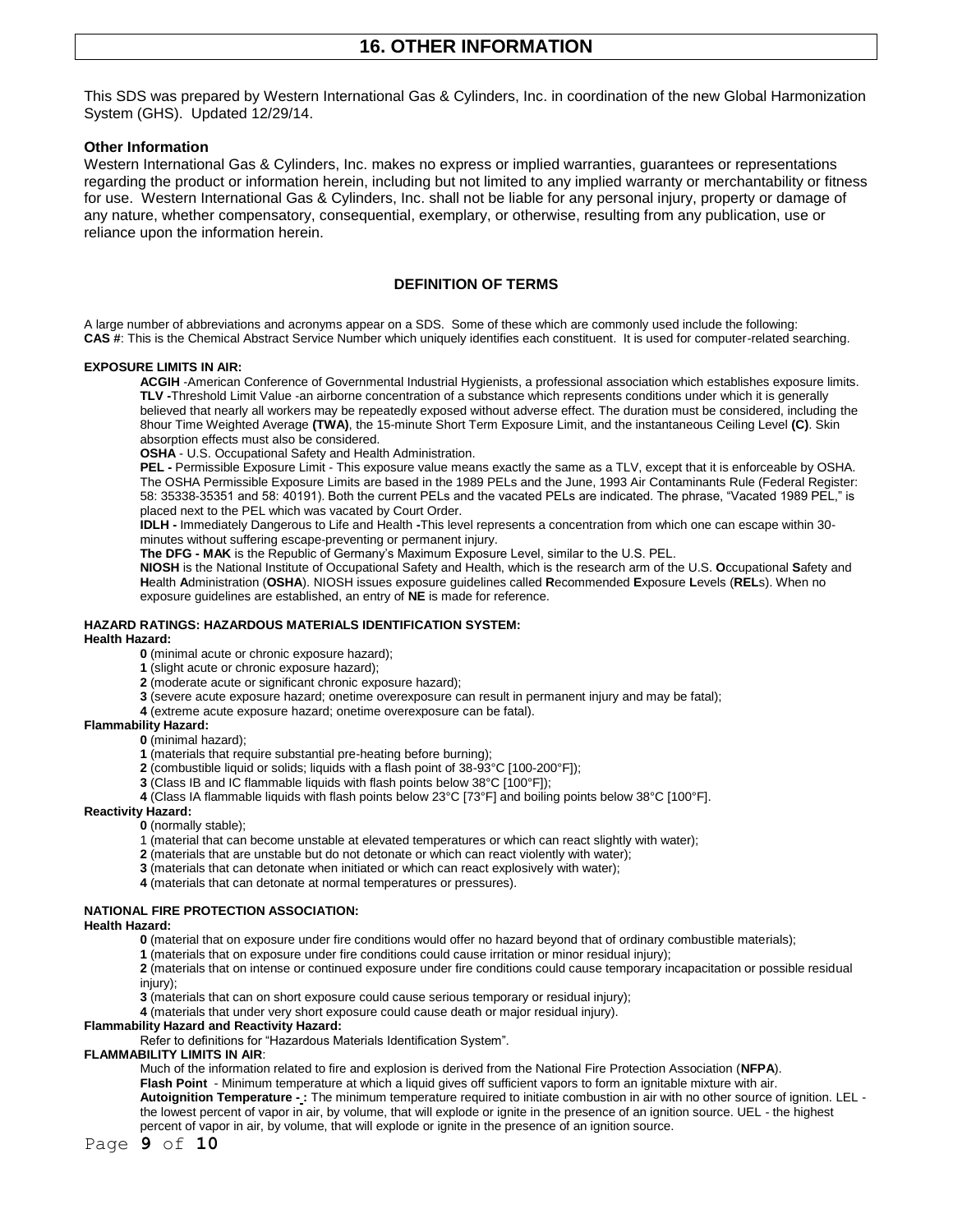This SDS was prepared by Western International Gas & Cylinders, Inc. in coordination of the new Global Harmonization System (GHS). Updated 12/29/14.

#### **Other Information**

Western International Gas & Cylinders, Inc. makes no express or implied warranties, quarantees or representations regarding the product or information herein, including but not limited to any implied warranty or merchantability or fitness for use. Western International Gas & Cylinders, Inc. shall not be liable for any personal injury, property or damage of any nature, whether compensatory, consequential, exemplary, or otherwise, resulting from any publication, use or reliance upon the information herein.

#### **DEFINITION OF TERMS**

A large number of abbreviations and acronyms appear on a SDS. Some of these which are commonly used include the following: **CAS #**: This is the Chemical Abstract Service Number which uniquely identifies each constituent. It is used for computer-related searching.

#### **EXPOSURE LIMITS IN AIR:**

**ACGIH** -American Conference of Governmental Industrial Hygienists, a professional association which establishes exposure limits. **TLV -**Threshold Limit Value -an airborne concentration of a substance which represents conditions under which it is generally believed that nearly all workers may be repeatedly exposed without adverse effect. The duration must be considered, including the 8hour Time Weighted Average **(TWA)**, the 15-minute Short Term Exposure Limit, and the instantaneous Ceiling Level **(C)**. Skin absorption effects must also be considered.

**OSHA** - U.S. Occupational Safety and Health Administration.

**PEL -** Permissible Exposure Limit - This exposure value means exactly the same as a TLV, except that it is enforceable by OSHA. The OSHA Permissible Exposure Limits are based in the 1989 PELs and the June, 1993 Air Contaminants Rule (Federal Register: 58: 35338-35351 and 58: 40191). Both the current PELs and the vacated PELs are indicated. The phrase, "Vacated 1989 PEL," is placed next to the PEL which was vacated by Court Order.

**IDLH -** Immediately Dangerous to Life and Health **-**This level represents a concentration from which one can escape within 30 minutes without suffering escape-preventing or permanent injury.

**The DFG - MAK** is the Republic of Germany's Maximum Exposure Level, similar to the U.S. PEL.

**NIOSH** is the National Institute of Occupational Safety and Health, which is the research arm of the U.S. **O**ccupational **S**afety and **H**ealth **A**dministration (**OSHA**). NIOSH issues exposure guidelines called **R**ecommended **E**xposure **L**evels (**REL**s). When no exposure guidelines are established, an entry of **NE** is made for reference.

#### **HAZARD RATINGS: HAZARDOUS MATERIALS IDENTIFICATION SYSTEM:**

#### **Health Hazard:**

**0** (minimal acute or chronic exposure hazard);

**1** (slight acute or chronic exposure hazard);

- **2** (moderate acute or significant chronic exposure hazard);
- **3** (severe acute exposure hazard; onetime overexposure can result in permanent injury and may be fatal);
- **4** (extreme acute exposure hazard; onetime overexposure can be fatal).

#### **Flammability Hazard:**

- **0** (minimal hazard);
	- **1** (materials that require substantial pre-heating before burning);
	- **2** (combustible liquid or solids; liquids with a flash point of 38-93°C [100-200°F]);
	- **3** (Class IB and IC flammable liquids with flash points below 38°C [100°F]);
	- **4** (Class IA flammable liquids with flash points below 23°C [73°F] and boiling points below 38°C [100°F].

#### **Reactivity Hazard:**

- **0** (normally stable);
- 1 (material that can become unstable at elevated temperatures or which can react slightly with water);
- **2** (materials that are unstable but do not detonate or which can react violently with water);
- **3** (materials that can detonate when initiated or which can react explosively with water);
- **4** (materials that can detonate at normal temperatures or pressures).

#### **NATIONAL FIRE PROTECTION ASSOCIATION:**

#### **Health Hazard:**

- **0** (material that on exposure under fire conditions would offer no hazard beyond that of ordinary combustible materials);
- **1** (materials that on exposure under fire conditions could cause irritation or minor residual injury);
- **2** (materials that on intense or continued exposure under fire conditions could cause temporary incapacitation or possible residual injury);
- **3** (materials that can on short exposure could cause serious temporary or residual injury);
- **4** (materials that under very short exposure could cause death or major residual injury).
- **Flammability Hazard and Reactivity Hazard:**

Refer to definitions for "Hazardous Materials Identification System".

#### **FLAMMABILITY LIMITS IN AIR**:

Much of the information related to fire and explosion is derived from the National Fire Protection Association (**NFPA**).

- **Flash Point** Minimum temperature at which a liquid gives off sufficient vapors to form an ignitable mixture with air.
- **Autoignition Temperature - :** The minimum temperature required to initiate combustion in air with no other source of ignition. LEL the lowest percent of vapor in air, by volume, that will explode or ignite in the presence of an ignition source. UEL - the highest percent of vapor in air, by volume, that will explode or ignite in the presence of an ignition source.